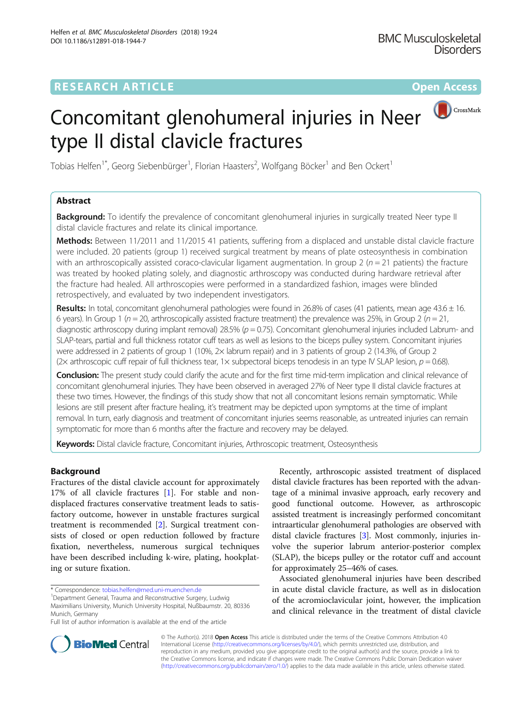# CrossMark

# Concomitant glenohumeral injuries in Neer type II distal clavicle fractures

Tobias Helfen<sup>1\*</sup>, Georg Siebenbürger<sup>1</sup>, Florian Haasters<sup>2</sup>, Wolfgang Böcker<sup>1</sup> and Ben Ockert<sup>1</sup>

# Abstract

**Background:** To identify the prevalence of concomitant glenohumeral injuries in surgically treated Neer type II distal clavicle fractures and relate its clinical importance.

Methods: Between 11/2011 and 11/2015 41 patients, suffering from a displaced and unstable distal clavicle fracture were included. 20 patients (group 1) received surgical treatment by means of plate osteosynthesis in combination with an arthroscopically assisted coraco-clavicular ligament augmentation. In group 2 ( $n = 21$  patients) the fracture was treated by hooked plating solely, and diagnostic arthroscopy was conducted during hardware retrieval after the fracture had healed. All arthroscopies were performed in a standardized fashion, images were blinded retrospectively, and evaluated by two independent investigators.

Results: In total, concomitant glenohumeral pathologies were found in 26.8% of cases (41 patients, mean age  $43.6 \pm 16$ . 6 years). In Group 1 ( $n = 20$ , arthroscopically assisted fracture treatment) the prevalence was 25%, in Group 2 ( $n = 21$ , diagnostic arthroscopy during implant removal) 28.5% ( $p = 0.75$ ). Concomitant glenohumeral injuries included Labrum- and SLAP-tears, partial and full thickness rotator cuff tears as well as lesions to the biceps pulley system. Concomitant injuries were addressed in 2 patients of group 1 (10%, 2× labrum repair) and in 3 patients of group 2 (14.3%, of Group 2 (2× arthroscopic cuff repair of full thickness tear, 1× subpectoral biceps tenodesis in an type IV SLAP lesion,  $p = 0.68$ ).

Conclusion: The present study could clarify the acute and for the first time mid-term implication and clinical relevance of concomitant glenohumeral injuries. They have been observed in averaged 27% of Neer type II distal clavicle fractures at these two times. However, the findings of this study show that not all concomitant lesions remain symptomatic. While lesions are still present after fracture healing, it's treatment may be depicted upon symptoms at the time of implant removal. In turn, early diagnosis and treatment of concomitant injuries seems reasonable, as untreated injuries can remain symptomatic for more than 6 months after the fracture and recovery may be delayed.

Keywords: Distal clavicle fracture, Concomitant injuries, Arthroscopic treatment, Osteosynthesis

## Background

Fractures of the distal clavicle account for approximately 17% of all clavicle fractures [[1\]](#page-5-0). For stable and nondisplaced fractures conservative treatment leads to satisfactory outcome, however in unstable fractures surgical treatment is recommended [\[2\]](#page-5-0). Surgical treatment consists of closed or open reduction followed by fracture fixation, nevertheless, numerous surgical techniques have been described including k-wire, plating, hookplating or suture fixation.

Recently, arthroscopic assisted treatment of displaced distal clavicle fractures has been reported with the advantage of a minimal invasive approach, early recovery and good functional outcome. However, as arthroscopic assisted treatment is increasingly performed concomitant intraarticular glenohumeral pathologies are observed with distal clavicle fractures [\[3](#page-5-0)]. Most commonly, injuries involve the superior labrum anterior-posterior complex (SLAP), the biceps pulley or the rotator cuff and account for approximately 25–46% of cases.

Associated glenohumeral injuries have been described in acute distal clavicle fracture, as well as in dislocation of the acromioclavicular joint, however, the implication and clinical relevance in the treatment of distal clavicle



© The Author(s). 2018 Open Access This article is distributed under the terms of the Creative Commons Attribution 4.0 International License [\(http://creativecommons.org/licenses/by/4.0/](http://creativecommons.org/licenses/by/4.0/)), which permits unrestricted use, distribution, and reproduction in any medium, provided you give appropriate credit to the original author(s) and the source, provide a link to the Creative Commons license, and indicate if changes were made. The Creative Commons Public Domain Dedication waiver [\(http://creativecommons.org/publicdomain/zero/1.0/](http://creativecommons.org/publicdomain/zero/1.0/)) applies to the data made available in this article, unless otherwise stated.

<sup>\*</sup> Correspondence: [tobias.helfen@med.uni-muenchen.de](mailto:tobias.helfen@med.uni-muenchen.de) <sup>1</sup>

<sup>&</sup>lt;sup>1</sup> Department General, Trauma and Reconstructive Surgery, Ludwig

Maximilians University, Munich University Hospital, Nußbaumstr. 20, 80336 Munich, Germany

Full list of author information is available at the end of the article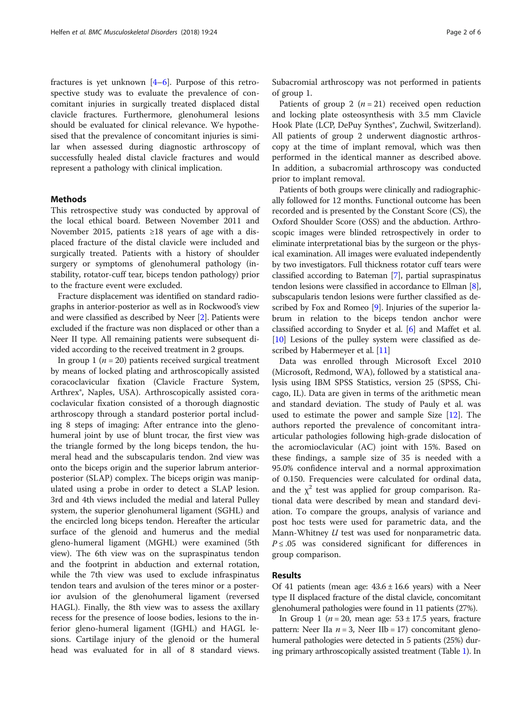fractures is yet unknown  $[4-6]$  $[4-6]$  $[4-6]$ . Purpose of this retrospective study was to evaluate the prevalence of concomitant injuries in surgically treated displaced distal clavicle fractures. Furthermore, glenohumeral lesions should be evaluated for clinical relevance. We hypothesised that the prevalence of concomitant injuries is similar when assessed during diagnostic arthroscopy of successfully healed distal clavicle fractures and would represent a pathology with clinical implication.

### Methods

This retrospective study was conducted by approval of the local ethical board. Between November 2011 and November 2015, patients ≥18 years of age with a displaced fracture of the distal clavicle were included and surgically treated. Patients with a history of shoulder surgery or symptoms of glenohumeral pathology (instability, rotator-cuff tear, biceps tendon pathology) prior to the fracture event were excluded.

Fracture displacement was identified on standard radiographs in anterior-posterior as well as in Rockwood's view and were classified as described by Neer [\[2\]](#page-5-0). Patients were excluded if the fracture was non displaced or other than a Neer II type. All remaining patients were subsequent divided according to the received treatment in 2 groups.

In group 1 ( $n = 20$ ) patients received surgical treatment by means of locked plating and arthroscopically assisted coracoclavicular fixation (Clavicle Fracture System, Arthrex®, Naples, USA). Arthroscopically assisted coracoclavicular fixation consisted of a thorough diagnostic arthroscopy through a standard posterior portal including 8 steps of imaging: After entrance into the glenohumeral joint by use of blunt trocar, the first view was the triangle formed by the long biceps tendon, the humeral head and the subscapularis tendon. 2nd view was onto the biceps origin and the superior labrum anteriorposterior (SLAP) complex. The biceps origin was manipulated using a probe in order to detect a SLAP lesion. 3rd and 4th views included the medial and lateral Pulley system, the superior glenohumeral ligament (SGHL) and the encircled long biceps tendon. Hereafter the articular surface of the glenoid and humerus and the medial gleno-humeral ligament (MGHL) were examined (5th view). The 6th view was on the supraspinatus tendon and the footprint in abduction and external rotation, while the 7th view was used to exclude infraspinatus tendon tears and avulsion of the teres minor or a posterior avulsion of the glenohumeral ligament (reversed HAGL). Finally, the 8th view was to assess the axillary recess for the presence of loose bodies, lesions to the inferior gleno-humeral ligament (IGHL) and HAGL lesions. Cartilage injury of the glenoid or the humeral head was evaluated for in all of 8 standard views.

Subacromial arthroscopy was not performed in patients of group 1.

Patients of group 2  $(n = 21)$  received open reduction and locking plate osteosynthesis with 3.5 mm Clavicle Hook Plate (LCP, DePuy Synthes<sup>®</sup>, Zuchwil, Switzerland). All patients of group 2 underwent diagnostic arthroscopy at the time of implant removal, which was then performed in the identical manner as described above. In addition, a subacromial arthroscopy was conducted prior to implant removal.

Patients of both groups were clinically and radiographically followed for 12 months. Functional outcome has been recorded and is presented by the Constant Score (CS), the Oxford Shoulder Score (OSS) and the abduction. Arthroscopic images were blinded retrospectively in order to eliminate interpretational bias by the surgeon or the physical examination. All images were evaluated independently by two investigators. Full thickness rotator cuff tears were classified according to Bateman [[7\]](#page-5-0), partial supraspinatus tendon lesions were classified in accordance to Ellman [[8](#page-5-0)], subscapularis tendon lesions were further classified as de-scribed by Fox and Romeo [\[9\]](#page-5-0). Injuries of the superior labrum in relation to the biceps tendon anchor were classified according to Snyder et al. [[6\]](#page-5-0) and Maffet et al. [[10](#page-5-0)] Lesions of the pulley system were classified as de-scribed by Habermeyer et al. [\[11](#page-5-0)]

Data was enrolled through Microsoft Excel 2010 (Microsoft, Redmond, WA), followed by a statistical analysis using IBM SPSS Statistics, version 25 (SPSS, Chicago, IL). Data are given in terms of the arithmetic mean and standard deviation. The study of Pauly et al. was used to estimate the power and sample Size [[12\]](#page-5-0). The authors reported the prevalence of concomitant intraarticular pathologies following high-grade dislocation of the acromioclavicular (AC) joint with 15%. Based on these findings, a sample size of 35 is needed with a 95.0% confidence interval and a normal approximation of 0.150. Frequencies were calculated for ordinal data, and the  $\chi^2$  test was applied for group comparison. Rational data were described by mean and standard deviation. To compare the groups, analysis of variance and post hoc tests were used for parametric data, and the Mann-Whitney *U* test was used for nonparametric data.  $P \leq .05$  was considered significant for differences in group comparison.

## Results

Of 41 patients (mean age:  $43.6 \pm 16.6$  years) with a Neer type II displaced fracture of the distal clavicle, concomitant glenohumeral pathologies were found in 11 patients (27%).

In Group 1 ( $n = 20$ , mean age:  $53 \pm 17.5$  years, fracture pattern: Neer IIa  $n = 3$ , Neer IIb = 17) concomitant glenohumeral pathologies were detected in 5 patients (25%) during primary arthroscopically assisted treatment (Table [1](#page-2-0)). In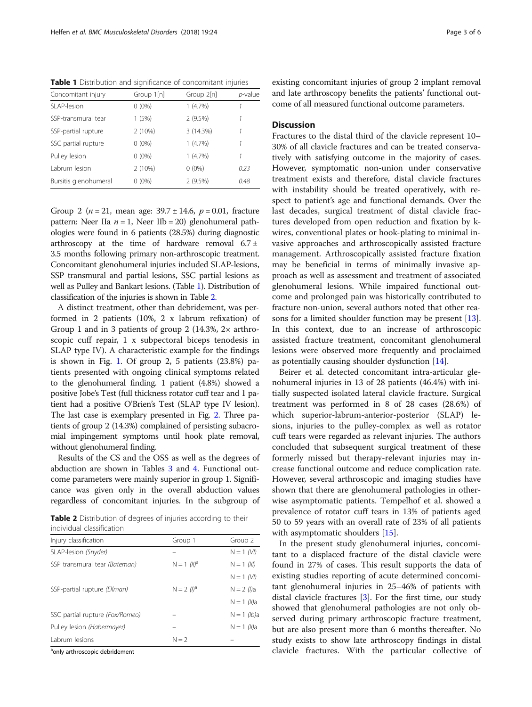<span id="page-2-0"></span>Table 1 Distribution and significance of concomitant injuries

| Concomitant injury    | Group 1[n] | Group 2[n] | <i>p</i> -value |
|-----------------------|------------|------------|-----------------|
| SLAP-lesion           | $0(0\%)$   | 1(4.7%)    |                 |
| SSP-transmural tear   | 1(5%)      | 2(9.5%)    |                 |
| SSP-partial rupture   | 2(10%)     | 3 (14.3%)  |                 |
| SSC partial rupture   | $0(0\%)$   | 1(4.7%)    | 1               |
| Pulley lesion         | $0(0\%)$   | $1(4.7\%)$ |                 |
| Labrum lesion         | 2(10%)     | $0(0\%)$   | 0.23            |
| Bursitis glenohumeral | $0(0\%)$   | 2(9.5%)    | 0.48            |

Group 2 ( $n = 21$ , mean age:  $39.7 \pm 14.6$ ,  $p = 0.01$ , fracture pattern: Neer IIa  $n = 1$ , Neer IIb = 20) glenohumeral pathologies were found in 6 patients (28.5%) during diagnostic arthroscopy at the time of hardware removal  $6.7 \pm$ 3.5 months following primary non-arthroscopic treatment. Concomitant glenohumeral injuries included SLAP-lesions, SSP transmural and partial lesions, SSC partial lesions as well as Pulley and Bankart lesions. (Table 1). Distribution of classification of the injuries is shown in Table 2.

A distinct treatment, other than debridement, was performed in 2 patients (10%, 2 x labrum refixation) of Group 1 and in 3 patients of group 2  $(14.3\%, 2 \times \text{arthro-}$ scopic cuff repair, 1 x subpectoral biceps tenodesis in SLAP type IV). A characteristic example for the findings is shown in Fig. [1.](#page-3-0) Of group 2, 5 patients (23.8%) patients presented with ongoing clinical symptoms related to the glenohumeral finding. 1 patient (4.8%) showed a positive Jobe's Test (full thickness rotator cuff tear and 1 patient had a positive O'Brien's Test (SLAP type IV lesion). The last case is exemplary presented in Fig. [2](#page-4-0). Three patients of group 2 (14.3%) complained of persisting subacromial impingement symptoms until hook plate removal, without glenohumeral finding.

Results of the CS and the OSS as well as the degrees of abduction are shown in Tables [3](#page-4-0) and [4](#page-4-0). Functional outcome parameters were mainly superior in group 1. Significance was given only in the overall abduction values regardless of concomitant injuries. In the subgroup of

Table 2 Distribution of degrees of injuries according to their individual classification

| Injury classification           | Group 1                   | Group 2               |
|---------------------------------|---------------------------|-----------------------|
| SLAP-lesion (Snyder)            |                           | $N = 1$ (VI)          |
| SSP transmural tear (Bateman)   | $N = 1$ (II) <sup>a</sup> | $N = 1$ (III)         |
|                                 |                           | $N = 1$ (VI)          |
| SSP-partial rupture (Ellman)    | $N = 2$ (1) <sup>a</sup>  | $N = 2$ ( <i>I</i> )a |
|                                 |                           | $N = 1$ (II)a         |
| SSC partial rupture (Fox/Romeo) |                           | $N = 1$ (lb)a         |
| Pulley lesion (Habermayer)      |                           | $N = 1$ (II)a         |
| Labrum lesions                  | $N = 2$                   |                       |

<sup>a</sup>only arthroscopic debridement

existing concomitant injuries of group 2 implant removal and late arthroscopy benefits the patients' functional outcome of all measured functional outcome parameters.

## **Discussion**

Fractures to the distal third of the clavicle represent 10– 30% of all clavicle fractures and can be treated conservatively with satisfying outcome in the majority of cases. However, symptomatic non-union under conservative treatment exists and therefore, distal clavicle fractures with instability should be treated operatively, with respect to patient's age and functional demands. Over the last decades, surgical treatment of distal clavicle fractures developed from open reduction and fixation by kwires, conventional plates or hook-plating to minimal invasive approaches and arthroscopically assisted fracture management. Arthroscopically assisted fracture fixation may be beneficial in terms of minimally invasive approach as well as assessment and treatment of associated glenohumeral lesions. While impaired functional outcome and prolonged pain was historically contributed to fracture non-union, several authors noted that other reasons for a limited shoulder function may be present [\[13](#page-5-0)]. In this context, due to an increase of arthroscopic assisted fracture treatment, concomitant glenohumeral lesions were observed more frequently and proclaimed as potentially causing shoulder dysfunction [\[14](#page-5-0)].

Beirer et al. detected concomitant intra-articular glenohumeral injuries in 13 of 28 patients (46.4%) with initially suspected isolated lateral clavicle fracture. Surgical treatment was performed in 8 of 28 cases (28.6%) of which superior-labrum-anterior-posterior (SLAP) lesions, injuries to the pulley-complex as well as rotator cuff tears were regarded as relevant injuries. The authors concluded that subsequent surgical treatment of these formerly missed but therapy-relevant injuries may increase functional outcome and reduce complication rate. However, several arthroscopic and imaging studies have shown that there are glenohumeral pathologies in otherwise asymptomatic patients. Tempelhof et al. showed a prevalence of rotator cuff tears in 13% of patients aged 50 to 59 years with an overall rate of 23% of all patients with asymptomatic shoulders [[15\]](#page-5-0).

In the present study glenohumeral injuries, concomitant to a displaced fracture of the distal clavicle were found in 27% of cases. This result supports the data of existing studies reporting of acute determined concomitant glenohumeral injuries in 25–46% of patients with distal clavicle fractures [\[3](#page-5-0)]. For the first time, our study showed that glenohumeral pathologies are not only observed during primary arthroscopic fracture treatment, but are also present more than 6 months thereafter. No study exists to show late arthroscopy findings in distal clavicle fractures. With the particular collective of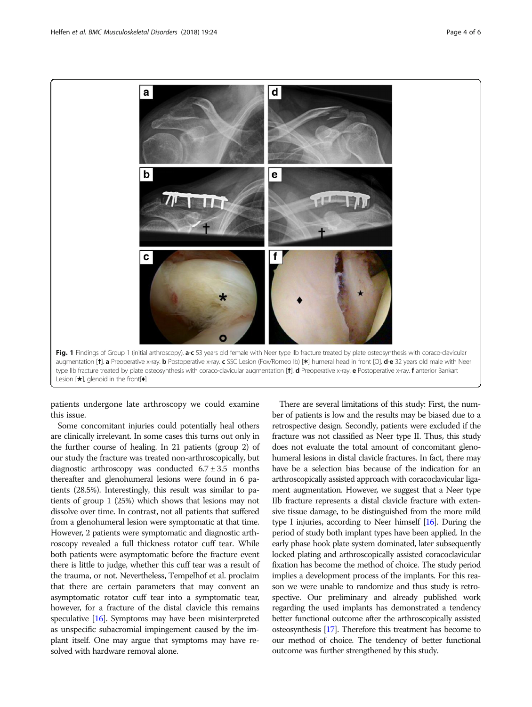<span id="page-3-0"></span>

patients undergone late arthroscopy we could examine this issue.

Some concomitant injuries could potentially heal others are clinically irrelevant. In some cases this turns out only in the further course of healing. In 21 patients (group 2) of our study the fracture was treated non-arthroscopically, but diagnostic arthroscopy was conducted  $6.7 \pm 3.5$  months thereafter and glenohumeral lesions were found in 6 patients (28.5%). Interestingly, this result was similar to patients of group 1 (25%) which shows that lesions may not dissolve over time. In contrast, not all patients that suffered from a glenohumeral lesion were symptomatic at that time. However, 2 patients were symptomatic and diagnostic arthroscopy revealed a full thickness rotator cuff tear. While both patients were asymptomatic before the fracture event there is little to judge, whether this cuff tear was a result of the trauma, or not. Nevertheless, Tempelhof et al. proclaim that there are certain parameters that may convent an asymptomatic rotator cuff tear into a symptomatic tear, however, for a fracture of the distal clavicle this remains speculative [\[16](#page-5-0)]. Symptoms may have been misinterpreted as unspecific subacromial impingement caused by the implant itself. One may argue that symptoms may have resolved with hardware removal alone.

There are several limitations of this study: First, the number of patients is low and the results may be biased due to a retrospective design. Secondly, patients were excluded if the fracture was not classified as Neer type II. Thus, this study does not evaluate the total amount of concomitant glenohumeral lesions in distal clavicle fractures. In fact, there may have be a selection bias because of the indication for an arthroscopically assisted approach with coracoclavicular ligament augmentation. However, we suggest that a Neer type IIb fracture represents a distal clavicle fracture with extensive tissue damage, to be distinguished from the more mild type I injuries, according to Neer himself [\[16](#page-5-0)]. During the period of study both implant types have been applied. In the early phase hook plate system dominated, later subsequently locked plating and arthroscopically assisted coracoclavicular fixation has become the method of choice. The study period implies a development process of the implants. For this reason we were unable to randomize and thus study is retrospective. Our preliminary and already published work regarding the used implants has demonstrated a tendency better functional outcome after the arthroscopically assisted osteosynthesis [\[17\]](#page-5-0). Therefore this treatment has become to our method of choice. The tendency of better functional outcome was further strengthened by this study.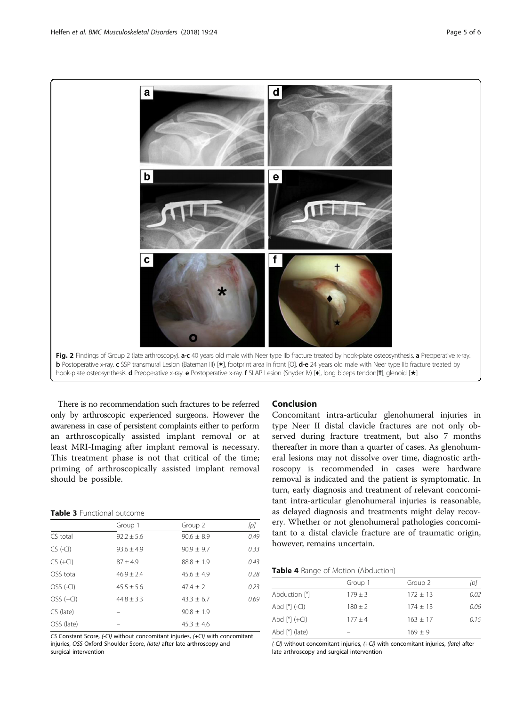<span id="page-4-0"></span>

There is no recommendation such fractures to be referred only by arthroscopic experienced surgeons. However the awareness in case of persistent complaints either to perform an arthroscopically assisted implant removal or at least MRI-Imaging after implant removal is necessary. This treatment phase is not that critical of the time; priming of arthroscopically assisted implant removal should be possible.

| <b>Table 3</b> Functional outcome |  |
|-----------------------------------|--|

|             | Group 1        | Group 2        | [p]  |
|-------------|----------------|----------------|------|
| CS total    | $92.2 \pm 5.6$ | $90.6 \pm 8.9$ | 0.49 |
| $CS$ (-CI)  | $93.6 + 4.9$   | $90.9 \pm 9.7$ | 0.33 |
| $CS (+Cl)$  | $87 + 49$      | $88.8 \pm 1.9$ | 0.43 |
| OSS total   | $46.9 + 2.4$   | $45.6 \pm 4.9$ | 0.28 |
| OSS (-CI)   | $45.5 + 5.6$   | $47.4 + 2$     | 0.23 |
| $OSS (+Cl)$ | $44.8 + 3.3$   | $43.3 + 6.7$   | 0.69 |
| CS (late)   |                | $90.8 + 1.9$   |      |
| OSS (late)  |                | $45.3 \pm 4.6$ |      |

CS Constant Score, (-CI) without concomitant injuries, (+CI) with concomitant injuries, OSS Oxford Shoulder Score, (late) after late arthroscopy and surgical intervention

## Conclusion

Concomitant intra-articular glenohumeral injuries in type Neer II distal clavicle fractures are not only observed during fracture treatment, but also 7 months thereafter in more than a quarter of cases. As glenohumeral lesions may not dissolve over time, diagnostic arthroscopy is recommended in cases were hardware removal is indicated and the patient is symptomatic. In turn, early diagnosis and treatment of relevant concomitant intra-articular glenohumeral injuries is reasonable, as delayed diagnosis and treatments might delay recovery. Whether or not glenohumeral pathologies concomitant to a distal clavicle fracture are of traumatic origin, however, remains uncertain.

| Table 4 Range of Motion (Abduction) |  |  |  |  |  |
|-------------------------------------|--|--|--|--|--|
|-------------------------------------|--|--|--|--|--|

|                                    | Group 1     | Group 2    | [p]  |
|------------------------------------|-------------|------------|------|
| Abduction [°]                      | $179 \pm 3$ | $172 + 13$ | 0.02 |
| Abd $[°]$ (-CI)                    | $180 \pm 2$ | $174 + 13$ | 0.06 |
| Abd $[°]$ (+Cl)                    | $177 + 4$   | $163 + 17$ | 0.15 |
| Abd $\lceil$ <sup>o</sup> ] (late) |             | $169 + 9$  |      |

(-CI) without concomitant injuries, (+CI) with concomitant injuries, (late) after late arthroscopy and surgical intervention